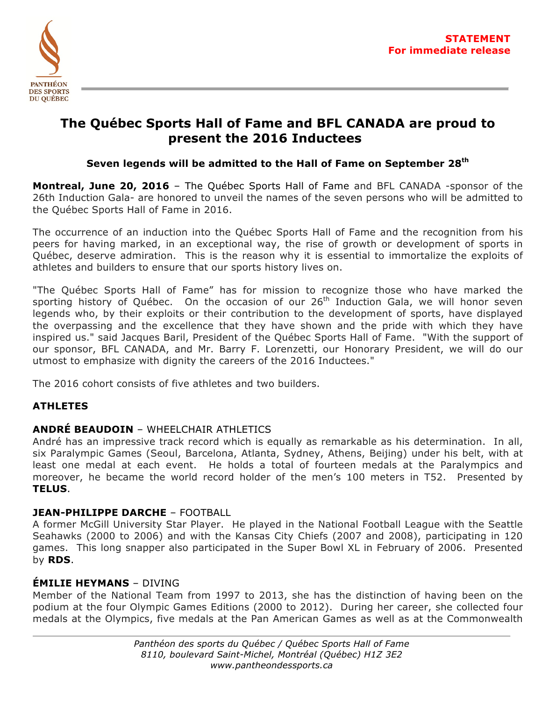

# **The Québec Sports Hall of Fame and BFL CANADA are proud to present the 2016 Inductees**

## **Seven legends will be admitted to the Hall of Fame on September 28th**

**Montreal, June 20, 2016** – The Québec Sports Hall of Fame and BFL CANADA -sponsor of the 26th Induction Gala- are honored to unveil the names of the seven persons who will be admitted to the Québec Sports Hall of Fame in 2016.

The occurrence of an induction into the Québec Sports Hall of Fame and the recognition from his peers for having marked, in an exceptional way, the rise of growth or development of sports in Québec, deserve admiration. This is the reason why it is essential to immortalize the exploits of athletes and builders to ensure that our sports history lives on.

"The Québec Sports Hall of Fame" has for mission to recognize those who have marked the sporting history of Québec. On the occasion of our  $26<sup>th</sup>$  Induction Gala, we will honor seven legends who, by their exploits or their contribution to the development of sports, have displayed the overpassing and the excellence that they have shown and the pride with which they have inspired us." said Jacques Baril, President of the Québec Sports Hall of Fame. "With the support of our sponsor, BFL CANADA, and Mr. Barry F. Lorenzetti, our Honorary President, we will do our utmost to emphasize with dignity the careers of the 2016 Inductees."

The 2016 cohort consists of five athletes and two builders.

# **ATHLETES**

## **ANDRÉ BEAUDOIN** – WHEELCHAIR ATHLETICS

André has an impressive track record which is equally as remarkable as his determination. In all, six Paralympic Games (Seoul, Barcelona, Atlanta, Sydney, Athens, Beijing) under his belt, with at least one medal at each event. He holds a total of fourteen medals at the Paralympics and moreover, he became the world record holder of the men's 100 meters in T52. Presented by **TELUS**.

## **JEAN-PHILIPPE DARCHE** – FOOTBALL

A former McGill University Star Player. He played in the National Football League with the Seattle Seahawks (2000 to 2006) and with the Kansas City Chiefs (2007 and 2008), participating in 120 games. This long snapper also participated in the Super Bowl XL in February of 2006. Presented by **RDS**.

## **ÉMILIE HEYMANS** – DIVING

Member of the National Team from 1997 to 2013, she has the distinction of having been on the podium at the four Olympic Games Editions (2000 to 2012). During her career, she collected four medals at the Olympics, five medals at the Pan American Games as well as at the Commonwealth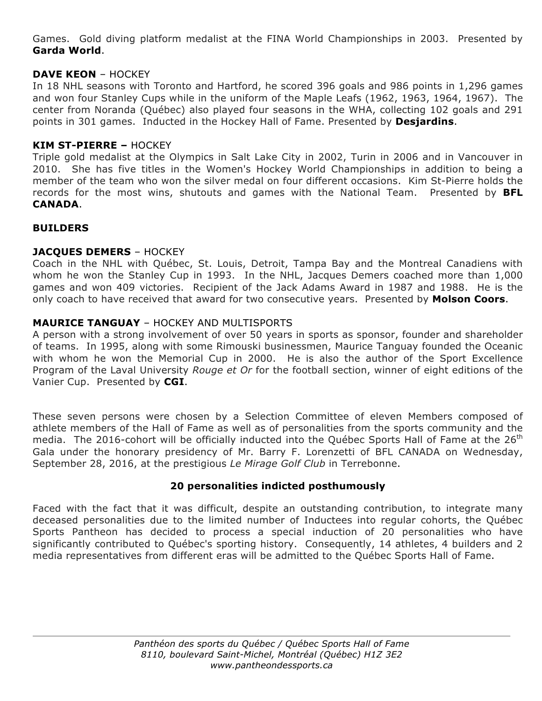Games. Gold diving platform medalist at the FINA World Championships in 2003. Presented by **Garda World**.

## **DAVE KEON** – HOCKEY

In 18 NHL seasons with Toronto and Hartford, he scored 396 goals and 986 points in 1,296 games and won four Stanley Cups while in the uniform of the Maple Leafs (1962, 1963, 1964, 1967). The center from Noranda (Québec) also played four seasons in the WHA, collecting 102 goals and 291 points in 301 games. Inducted in the Hockey Hall of Fame. Presented by **Desjardins**.

#### **KIM ST-PIERRE –** HOCKEY

Triple gold medalist at the Olympics in Salt Lake City in 2002, Turin in 2006 and in Vancouver in 2010. She has five titles in the Women's Hockey World Championships in addition to being a member of the team who won the silver medal on four different occasions. Kim St-Pierre holds the records for the most wins, shutouts and games with the National Team. Presented by **BFL CANADA**.

#### **BUILDERS**

#### **JACQUES DEMERS** – HOCKEY

Coach in the NHL with Québec, St. Louis, Detroit, Tampa Bay and the Montreal Canadiens with whom he won the Stanley Cup in 1993. In the NHL, Jacques Demers coached more than 1,000 games and won 409 victories. Recipient of the Jack Adams Award in 1987 and 1988. He is the only coach to have received that award for two consecutive years. Presented by **Molson Coors**.

## **MAURICE TANGUAY** – HOCKEY AND MULTISPORTS

A person with a strong involvement of over 50 years in sports as sponsor, founder and shareholder of teams. In 1995, along with some Rimouski businessmen, Maurice Tanguay founded the Oceanic with whom he won the Memorial Cup in 2000. He is also the author of the Sport Excellence Program of the Laval University *Rouge et Or* for the football section, winner of eight editions of the Vanier Cup. Presented by **CGI**.

These seven persons were chosen by a Selection Committee of eleven Members composed of athlete members of the Hall of Fame as well as of personalities from the sports community and the media. The 2016-cohort will be officially inducted into the Québec Sports Hall of Fame at the  $26<sup>th</sup>$ Gala under the honorary presidency of Mr. Barry F. Lorenzetti of BFL CANADA on Wednesday, September 28, 2016, at the prestigious *Le Mirage Golf Club* in Terrebonne.

#### **20 personalities indicted posthumously**

Faced with the fact that it was difficult, despite an outstanding contribution, to integrate many deceased personalities due to the limited number of Inductees into regular cohorts, the Québec Sports Pantheon has decided to process a special induction of 20 personalities who have significantly contributed to Québec's sporting history. Consequently, 14 athletes, 4 builders and 2 media representatives from different eras will be admitted to the Québec Sports Hall of Fame.